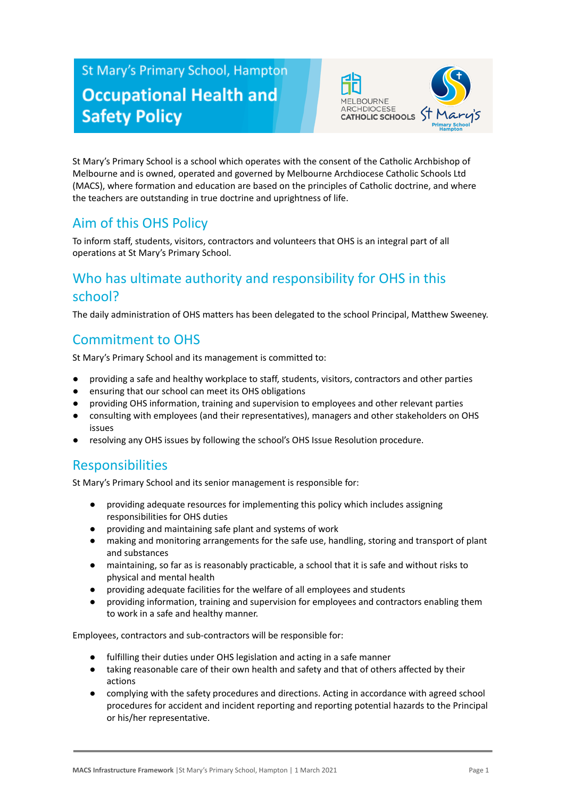# St Mary's Primary School, Hampton **Occupational Health and Safety Policy**



St Mary's Primary School is a school which operates with the consent of the Catholic Archbishop of Melbourne and is owned, operated and governed by Melbourne Archdiocese Catholic Schools Ltd (MACS), where formation and education are based on the principles of Catholic doctrine, and where the teachers are outstanding in true doctrine and uprightness of life.

# Aim of this OHS Policy

To inform staff, students, visitors, contractors and volunteers that OHS is an integral part of all operations at St Mary's Primary School.

# Who has ultimate authority and responsibility for OHS in this school?

The daily administration of OHS matters has been delegated to the school Principal, Matthew Sweeney.

# Commitment to OHS

St Mary's Primary School and its management is committed to:

- providing a safe and healthy workplace to staff, students, visitors, contractors and other parties
- ensuring that our school can meet its OHS obligations
- providing OHS information, training and supervision to employees and other relevant parties
- consulting with employees (and their representatives), managers and other stakeholders on OHS issues
- resolving any OHS issues by following the school's OHS Issue Resolution procedure.

### **Responsibilities**

St Mary's Primary School and its senior management is responsible for:

- providing adequate resources for implementing this policy which includes assigning responsibilities for OHS duties
- providing and maintaining safe plant and systems of work
- making and monitoring arrangements for the safe use, handling, storing and transport of plant and substances
- maintaining, so far as is reasonably practicable, a school that it is safe and without risks to physical and mental health
- providing adequate facilities for the welfare of all employees and students
- providing information, training and supervision for employees and contractors enabling them to work in a safe and healthy manner.

Employees, contractors and sub-contractors will be responsible for:

- fulfilling their duties under OHS legislation and acting in a safe manner
- taking reasonable care of their own health and safety and that of others affected by their actions
- complying with the safety procedures and directions. Acting in accordance with agreed school procedures for accident and incident reporting and reporting potential hazards to the Principal or his/her representative.